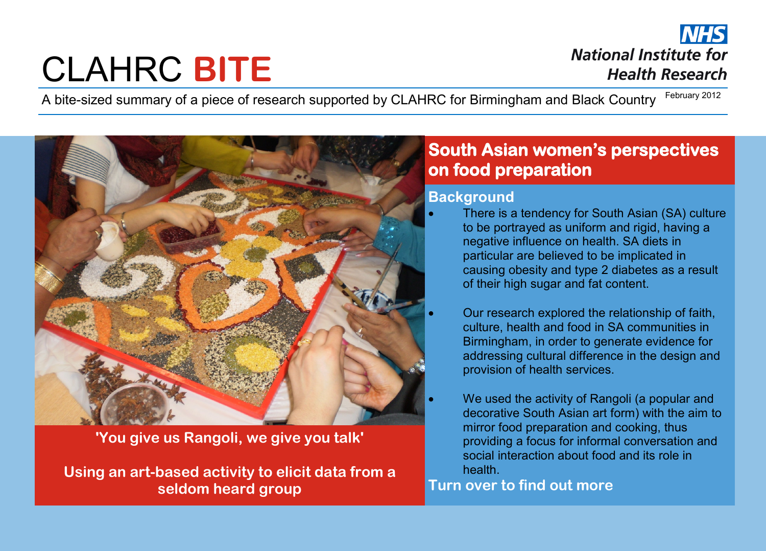# CLAHRC **BITE**

**National Institute for Health Research** 

A bite-sized summary of a piece of research supported by CLAHRC for Birmingham and Black Country February 2012



#### **'You give us Rangoli, we give you talk'**

**Using an art-based activity to elicit data from a seldom heard group**

## **South Asian women's perspectives on food preparation**

#### **Background**

- There is a tendency for South Asian (SA) culture to be portrayed as uniform and rigid, having a negative influence on health. SA diets in particular are believed to be implicated in causing obesity and type 2 diabetes as a result of their high sugar and fat content.
	- Our research explored the relationship of faith, culture, health and food in SA communities in Birmingham, in order to generate evidence for addressing cultural difference in the design and provision of health services.
- We used the activity of Rangoli (a popular and decorative South Asian art form) with the aim to mirror food preparation and cooking, thus providing a focus for informal conversation and social interaction about food and its role in health.

#### **Turn over to find out more**